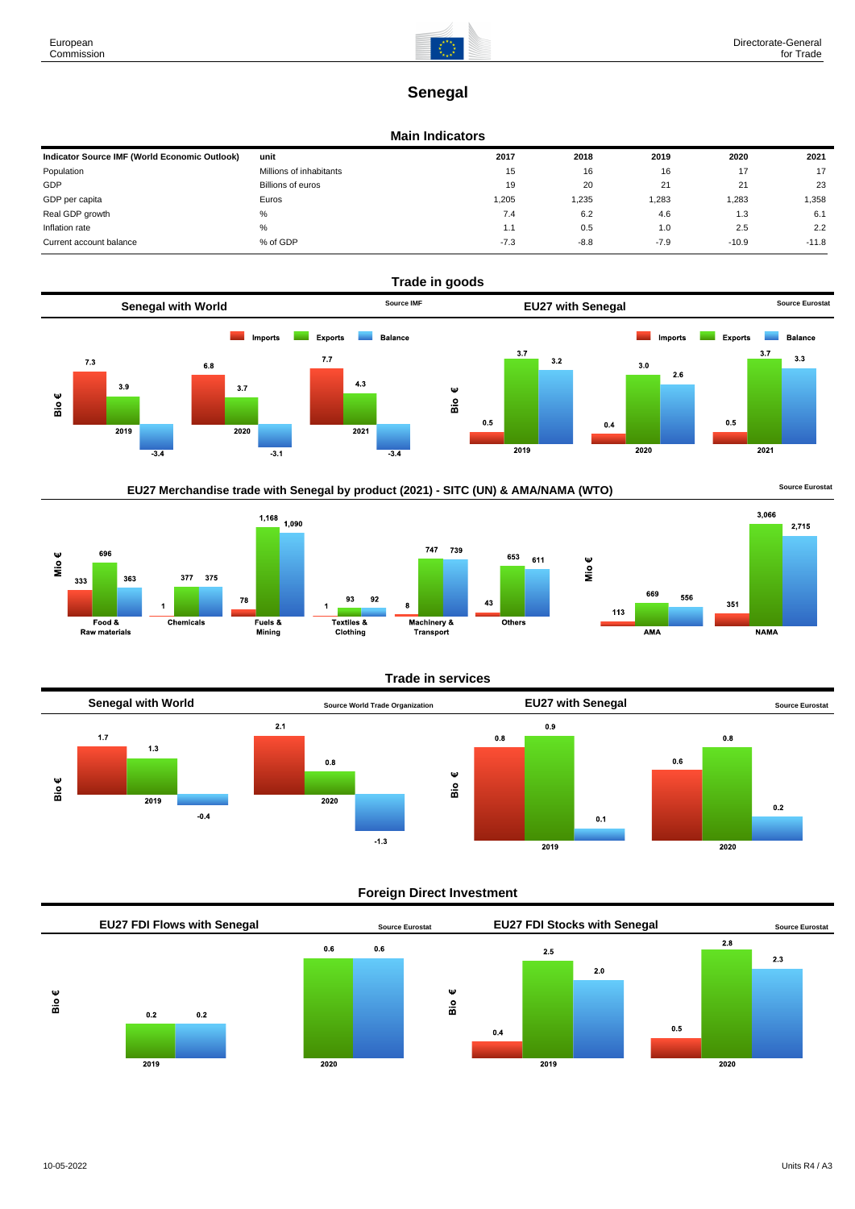

# **Senegal**

#### **Main Indicators**

| Indicator Source IMF (World Economic Outlook) | unit                    | 2017   | 2018   | 2019   | 2020    | 2021    |
|-----------------------------------------------|-------------------------|--------|--------|--------|---------|---------|
| Population                                    | Millions of inhabitants | 15     | 16     | 16     | 17      | 17      |
| GDP                                           | Billions of euros       | 19     | 20     | 21     | 21      | 23      |
| GDP per capita                                | Euros                   | 1,205  | 1,235  | .283   | 1,283   | .358    |
| Real GDP growth                               | %                       | 7.4    | 6.2    | 4.6    | 1.3     | 6.1     |
| Inflation rate                                | %                       | 1.1    | 0.5    | 1.0    | 2.5     | 2.2     |
| Current account balance                       | % of GDP                | $-7.3$ | $-8.8$ | $-7.9$ | $-10.9$ | $-11.8$ |



### EU27 Merchandise trade with Senegal by product (2021) - SITC (UN) & AMA/NAMA (WTO) **Source Eurostat**





#### **Trade in services**

739

653 611

Others

 $43$ 



#### **Foreign Direct Investment**